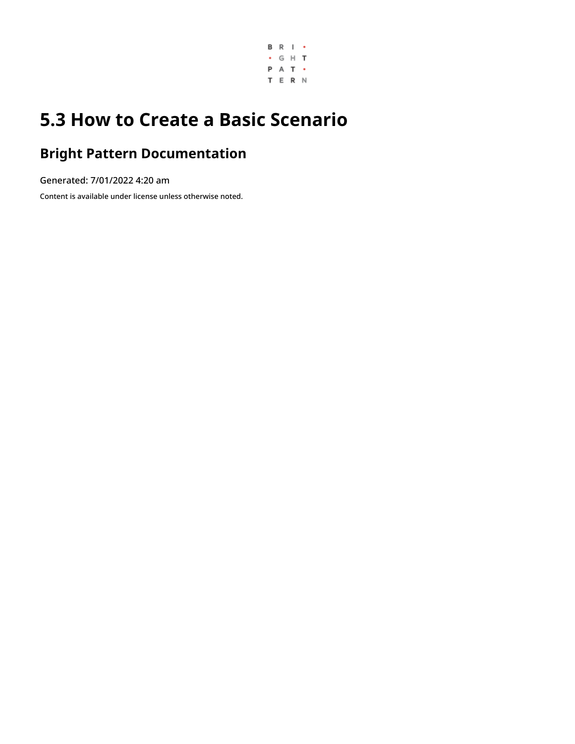

# **5.3 How to Create a Basic Scenario**

# **Bright Pattern Documentation**

Generated: 7/01/2022 4:20 am

Content is available under license unless otherwise noted.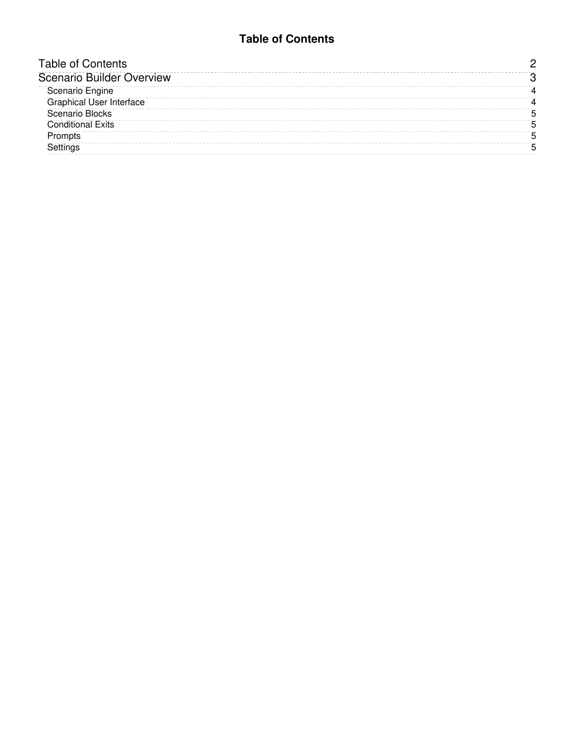#### **Table of Contents**

<span id="page-1-0"></span>

| <b>Table of Contents</b>        |  |
|---------------------------------|--|
| Scenario Builder Overview       |  |
| Scenario Engine                 |  |
| <b>Graphical User Interface</b> |  |
| <b>Scenario Blocks</b>          |  |
| <b>Conditional Exits</b>        |  |
| Prompts                         |  |
| Settinas                        |  |
|                                 |  |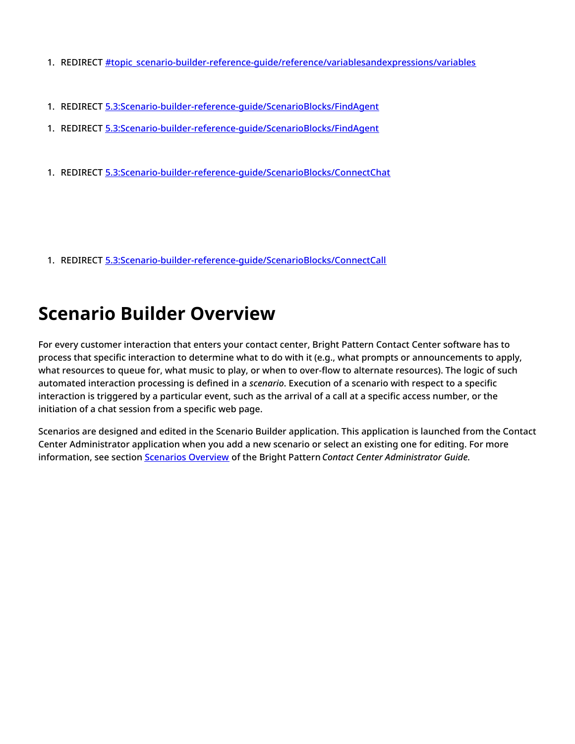- 1. REDIRECT [#topic\\_scenario-builder-reference-guide/reference/variablesandexpressions/variables](https://help.brightpattern.com/5.3:Scenario-builder-reference-guide/Exercises/HowtoCreateaBasicScenario/?action=html-localimages-export#topic_scenario-builder-reference-guide.2Freference.2Fvariablesandexpressions.2Fvariables)
- 1. REDIRECT [5.3:Scenario-builder-reference-guide/ScenarioBlocks/FindAgent](https://help.brightpattern.com/5.3:Scenario-builder-reference-guide/ScenarioBlocks/FindAgent)
- 1. REDIRECT [5.3:Scenario-builder-reference-guide/ScenarioBlocks/FindAgent](https://help.brightpattern.com/5.3:Scenario-builder-reference-guide/ScenarioBlocks/FindAgent)
- 1. REDIRECT [5.3:Scenario-builder-reference-guide/ScenarioBlocks/ConnectChat](https://help.brightpattern.com/5.3:Scenario-builder-reference-guide/ScenarioBlocks/ConnectChat)

1. REDIRECT [5.3:Scenario-builder-reference-guide/ScenarioBlocks/ConnectCall](https://help.brightpattern.com/5.3:Scenario-builder-reference-guide/ScenarioBlocks/ConnectCall)

# <span id="page-2-0"></span>**Scenario Builder Overview**

For every customer interaction that enters your contact center, Bright Pattern Contact Center software has to process that specific interaction to determine what to do with it (e.g., what prompts or announcements to apply, what resources to queue for, what music to play, or when to over-flow to alternate resources). The logic of such automated interaction processing is defined in a *scenario*. Execution of a scenario with respect to a specific interaction is triggered by a particular event, such as the arrival of a call at a specific access number, or the initiation of a chat session from a specific web page.

Scenarios are designed and edited in the Scenario Builder application. This application is launched from the Contact Center Administrator application when you add a new scenario or select an existing one for editing. For more information, see section [Scenarios](https://help.brightpattern.com/5.3:Scenario-builder-reference-guide/Exercises/HowtoCreateaBasicScenario/?action=html-localimages-export#topic_contact-center-administrator-guide.2Fscenariosoverview) Overview of the Bright Pattern *Contact Center Administrator Guide*.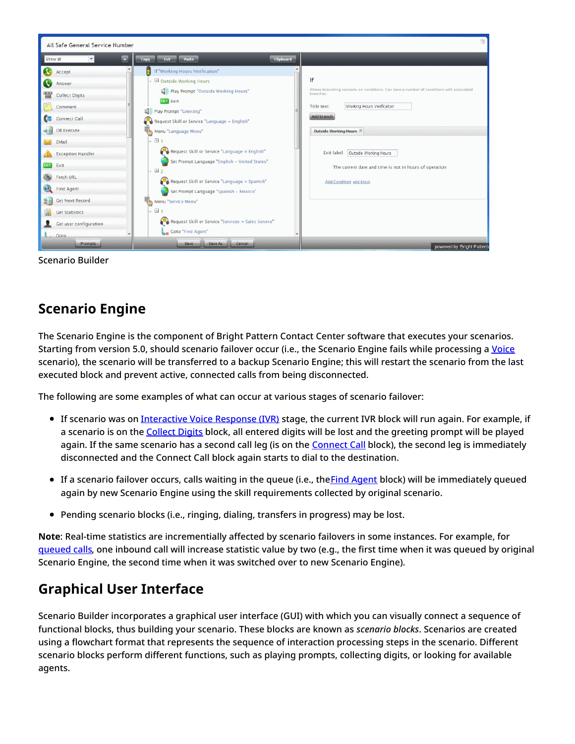| All Safe General Service Number                                                                                                                                                                                                          |                                                                                                                                                                                                                                                                                                                                                                                                                                                                                                                     |                                                                                                                                                                                                                                                                                                                                  |
|------------------------------------------------------------------------------------------------------------------------------------------------------------------------------------------------------------------------------------------|---------------------------------------------------------------------------------------------------------------------------------------------------------------------------------------------------------------------------------------------------------------------------------------------------------------------------------------------------------------------------------------------------------------------------------------------------------------------------------------------------------------------|----------------------------------------------------------------------------------------------------------------------------------------------------------------------------------------------------------------------------------------------------------------------------------------------------------------------------------|
| Show all<br>$\mathbf{u}_1$                                                                                                                                                                                                               | Clipboard<br>Cut Paste<br>Copy                                                                                                                                                                                                                                                                                                                                                                                                                                                                                      |                                                                                                                                                                                                                                                                                                                                  |
| Accept<br>Answer<br><b>THE</b><br><b>Collect Digits</b><br>Comment<br>c<br>Connect Call<br>여리<br>DB Execute<br>EMail<br>$\mathbb{R}$<br><b>Exception Handler</b><br><b>EXIL</b> Exit<br><b>S</b> Fetch URL<br>$\mathbf{Q}$<br>Find Agent | If "Working Hours Verificalton"<br>$\textcolor{red}{\rightarrow}$ $\Box$ Outside Working Hours<br>Play Prompt "Outside Working Hours"<br><b>EXIT</b> Exit<br>Play Prompt "Greeting"<br>4<br>$\binom{50}{10}$ Request Skill or Service "Language = English"<br>『い<br>Menu "Language Menu"<br>+ ⊟ 1<br>Request Skill or Service "Language = English"<br>Set Prompt Language "English - United States"<br>$\rightarrow$ E 2<br>Request Skill or Service "Language = Spanish"<br>Set Prompt Language "Spanish - Mexico" | lf<br>Allows branching scenario on conditions. Can have a number of conditions with associated<br>branches.<br>Working Hours Verificalton<br>Title text:<br>Add branch<br>Outside Working Hours<br>Exit label: Outside Working Hours<br>The current date and time is not in hours of operation<br><b>Add Condition add block</b> |
| <b>Get Next Record</b><br>8目<br><b>Get Statistics</b><br>al.<br>Get user configuration<br>Goto.<br><b>Prompts</b>                                                                                                                        | Menu "Service Menu"<br>→ ⊟ 1<br>Request Skill or Service "Services = Sales Service"<br>Goto "Find Agent"<br>Cancel<br>Save As<br>Save                                                                                                                                                                                                                                                                                                                                                                               | powered by Bright Pattern                                                                                                                                                                                                                                                                                                        |

Scenario Builder

# <span id="page-3-0"></span>**Scenario Engine**

The Scenario Engine is the component of Bright Pattern Contact Center software that executes your scenarios. Starting from version 5.0, should scenario failover occur (i.e., the Scenario Engine fails while processing a [Voice](https://help.brightpattern.com/5.3:Scenario-builder-reference-guide/Exercises/HowtoCreateaBasicScenario/?action=html-localimages-export#topic_contact-center-administrator-guide.2Fvoice) scenario), the scenario will be transferred to a backup Scenario Engine; this will restart the scenario from the last executed block and prevent active, connected calls from being disconnected.

The following are some examples of what can occur at various stages of scenario failover:

- If scenario was on [Interactive](https://help.brightpattern.com/5.3:Contact-center-administrator-guide/Glossary#Interactive_Voice_Response) Voice Response (IVR) stage, the current IVR block will run again. For example, if a scenario is on the [Collect](https://help.brightpattern.com/5.3:Scenario-builder-reference-guide/Exercises/HowtoCreateaBasicScenario/?action=html-localimages-export#topic_scenario-builder-reference-guide.2Fcollectdigits) Digits block, all entered digits will be lost and the greeting prompt will be played again. If the same scenario has a second call leg (is on the [Connect](https://help.brightpattern.com/5.3:Scenario-builder-reference-guide/Exercises/HowtoCreateaBasicScenario/?action=html-localimages-export#topic_scenario-builder-reference-guide.2Fconnectcall) Call block), the second leg is immediately disconnected and the Connect Call block again starts to dial to the destination.
- If a scenario failover occurs, calls waiting in the queue (i.e., the Find [Agent](https://help.brightpattern.com/5.3:Scenario-builder-reference-guide/Exercises/HowtoCreateaBasicScenario/?action=html-localimages-export#topic_scenario-builder-reference-guide.2Ffindagent) block) will be immediately queued again by new Scenario Engine using the skill requirements collected by original scenario.
- Pending scenario blocks (i.e., ringing, dialing, transfers in progress) may be lost.

**Note**: Real-time statistics are incrementially affected by scenario failovers in some instances. For example, for [queued](https://help.brightpattern.com/5.3:Reporting-reference-guide/AllMetrics#Inbound_Calls_Queued_for_the_Day_.28IN_Queued.29) calls, one inbound call will increase statistic value by two (e.g., the first time when it was queued by original Scenario Engine, the second time when it was switched over to new Scenario Engine).

### <span id="page-3-1"></span>**Graphical User Interface**

Scenario Builder incorporates a graphical user interface (GUI) with which you can visually connect a sequence of functional blocks, thus building your scenario. These blocks are known as *scenario blocks*. Scenarios are created using a flowchart format that represents the sequence of interaction processing steps in the scenario. Different scenario blocks perform different functions, such as playing prompts, collecting digits, or looking for available agents.